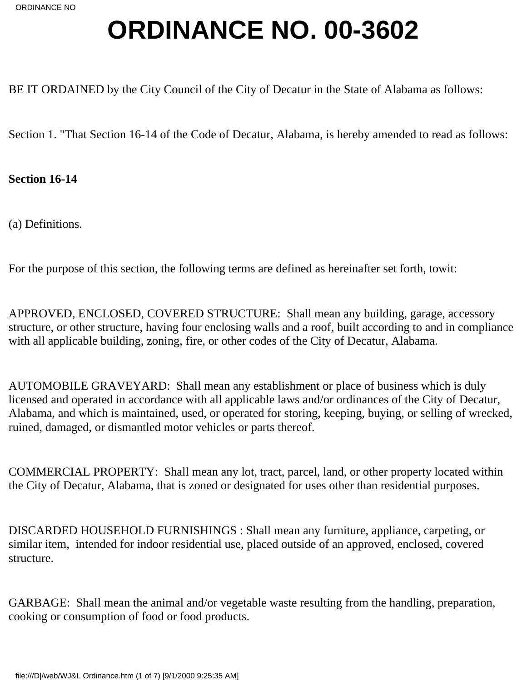# **ORDINANCE NO. 00-3602**

BE IT ORDAINED by the City Council of the City of Decatur in the State of Alabama as follows:

Section 1. "That Section 16-14 of the Code of Decatur, Alabama, is hereby amended to read as follows:

**Section 16-14**

(a) Definitions.

For the purpose of this section, the following terms are defined as hereinafter set forth, to wit:

APPROVED, ENCLOSED, COVERED STRUCTURE: Shall mean any building, garage, accessory structure, or other structure, having four enclosing walls and a roof, built according to and in compliance with all applicable building, zoning, fire, or other codes of the City of Decatur, Alabama.

AUTOMOBILE GRAVEYARD: Shall mean any establishment or place of business which is duly licensed and operated in accordance with all applicable laws and/or ordinances of the City of Decatur, Alabama, and which is maintained, used, or operated for storing, keeping, buying, or selling of wrecked, ruined, damaged, or dismantled motor vehicles or parts thereof.

COMMERCIAL PROPERTY: Shall mean any lot, tract, parcel, land, or other property located within the City of Decatur, Alabama, that is zoned or designated for uses other than residential purposes.

DISCARDED HOUSEHOLD FURNISHINGS : Shall mean any furniture, appliance, carpeting, or similar item, intended for indoor residential use, placed outside of an approved, enclosed, covered structure.

GARBAGE: Shall mean the animal and/or vegetable waste resulting from the handling, preparation, cooking or consumption of food or food products.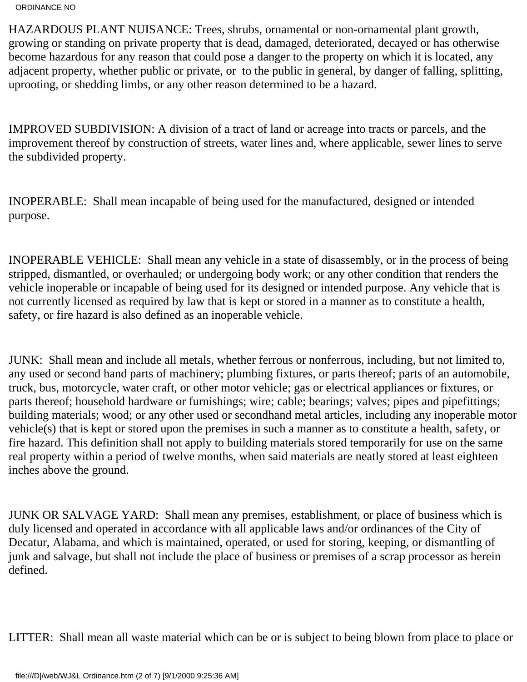HAZARDOUS PLANT NUISANCE: Trees, shrubs, ornamental or non-ornamental plant growth, growing or standing on private property that is dead, damaged, deteriorated, decayed or has otherwise become hazardous for any reason that could pose a danger to the property on which it is located, any adjacent property, whether public or private, or to the public in general, by danger of falling, splitting, uprooting, or shedding limbs, or any other reason determined to be a hazard.

IMPROVED SUBDIVISION: A division of a tract of land or acreage into tracts or parcels, and the improvement thereof by construction of streets, water lines and, where applicable, sewer lines to serve the subdivided property.

INOPERABLE: Shall mean incapable of being used for the manufactured, designed or intended purpose.

INOPERABLE VEHICLE: Shall mean any vehicle in a state of disassembly, or in the process of being stripped, dismantled, or overhauled; or undergoing body work; or any other condition that renders the vehicle inoperable or incapable of being used for its designed or intended purpose. Any vehicle that is not currently licensed as required by law that is kept or stored in a manner as to constitute a health, safety, or fire hazard is also defined as an inoperable vehicle.

JUNK: Shall mean and include all metals, whether ferrous or nonferrous, including, but not limited to, any used or second hand parts of machinery; plumbing fixtures, or parts thereof; parts of an automobile, truck, bus, motorcycle, water craft, or other motor vehicle; gas or electrical appliances or fixtures, or parts thereof; household hardware or furnishings; wire; cable; bearings; valves; pipes and pipe fittings; building materials; wood; or any other used or secondhand metal articles, including any inoperable motor vehicle(s) that is kept or stored upon the premises in such a manner as to constitute a health, safety, or fire hazard. This definition shall not apply to building materials stored temporarily for use on the same real property within a period of twelve months, when said materials are neatly stored at least eighteen inches above the ground.

JUNK OR SALVAGE YARD: Shall mean any premises, establishment, or place of business which is duly licensed and operated in accordance with all applicable laws and/or ordinances of the City of Decatur, Alabama, and which is maintained, operated, or used for storing, keeping, or dismantling of junk and salvage, but shall not include the place of business or premises of a scrap processor as herein defined.

LITTER: Shall mean all waste material which can be or is subject to being blown from place to place or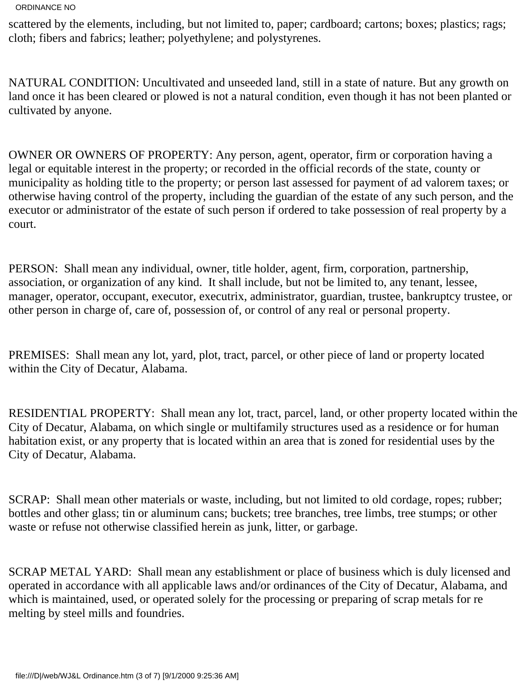scattered by the elements, including, but not limited to, paper; cardboard; cartons; boxes; plastics; rags; cloth; fibers and fabrics; leather; polyethylene; and polystyrenes.

NATURAL CONDITION: Uncultivated and unseeded land, still in a state of nature. But any growth on land once it has been cleared or plowed is not a natural condition, even though it has not been planted or cultivated by anyone.

OWNER OR OWNERS OF PROPERTY: Any person, agent, operator, firm or corporation having a legal or equitable interest in the property; or recorded in the official records of the state, county or municipality as holding title to the property; or person last assessed for payment of ad valorem taxes; or otherwise having control of the property, including the guardian of the estate of any such person, and the executor or administrator of the estate of such person if ordered to take possession of real property by a court.

PERSON: Shall mean any individual, owner, title holder, agent, firm, corporation, partnership, association, or organization of any kind. It shall include, but not be limited to, any tenant, lessee, manager, operator, occupant, executor, executrix, administrator, guardian, trustee, bankruptcy trustee, or other person in charge of, care of, possession of, or control of any real or personal property.

PREMISES: Shall mean any lot, yard, plot, tract, parcel, or other piece of land or property located within the City of Decatur, Alabama.

RESIDENTIAL PROPERTY: Shall mean any lot, tract, parcel, land, or other property located within the City of Decatur, Alabama, on which single or multifamily structures used as a residence or for human habitation exist, or any property that is located within an area that is zoned for residential uses by the City of Decatur, Alabama.

SCRAP: Shall mean other materials or waste, including, but not limited to old cordage, ropes; rubber; bottles and other glass; tin or aluminum cans; buckets; tree branches, tree limbs, tree stumps; or other waste or refuse not otherwise classified herein as junk, litter, or garbage.

SCRAP METAL YARD: Shall mean any establishment or place of business which is duly licensed and operated in accordance with all applicable laws and/or ordinances of the City of Decatur, Alabama, and which is maintained, used, or operated solely for the processing or preparing of scrap metals for re melting by steel mills and foundries.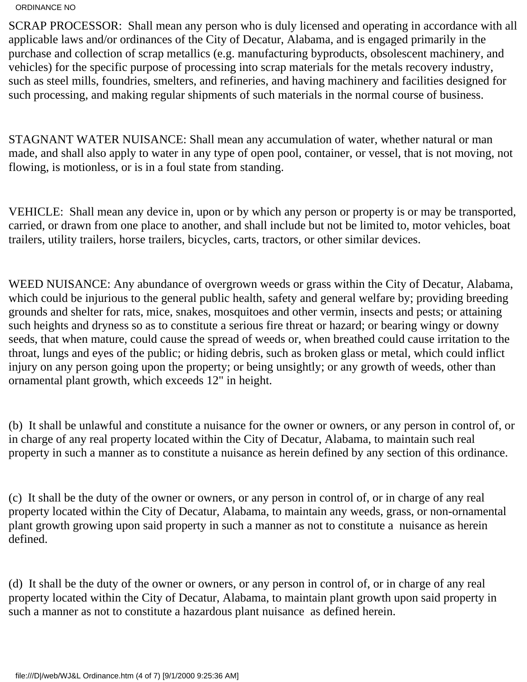SCRAP PROCESSOR: Shall mean any person who is duly licensed and operating in accordance with all applicable laws and/or ordinances of the City of Decatur, Alabama, and is engaged primarily in the purchase and collection of scrap metallics (e.g. manufacturing by products, obsolescent machinery, and vehicles) for the specific purpose of processing into scrap materials for the metals recovery industry, such as steel mills, foundries, smelters, and refineries, and having machinery and facilities designed for such processing, and making regular shipments of such materials in the normal course of business.

STAGNANT WATER NUISANCE: Shall mean any accumulation of water, whether natural or man made, and shall also apply to water in any type of open pool, container, or vessel, that is not moving, not flowing, is motionless, or is in a foul state from standing.

VEHICLE: Shall mean any device in, upon or by which any person or property is or may be transported, carried, or drawn from one place to another, and shall include but not be limited to, motor vehicles, boat trailers, utility trailers, horse trailers, bicycles, carts, tractors, or other similar devices.

WEED NUISANCE: Any abundance of overgrown weeds or grass within the City of Decatur, Alabama, which could be injurious to the general public health, safety and general welfare by; providing breeding grounds and shelter for rats, mice, snakes, mosquitoes and other vermin, insects and pests; or attaining such heights and dryness so as to constitute a serious fire threat or hazard; or bearing wingy or downy seeds, that when mature, could cause the spread of weeds or, when breathed could cause irritation to the throat, lungs and eyes of the public; or hiding debris, such as broken glass or metal, which could inflict injury on any person going upon the property; or being unsightly; or any growth of weeds, other than ornamental plant growth, which exceeds 12" in height.

(b) It shall be unlawful and constitute a nuisance for the owner or owners, or any person in control of, or in charge of any real property located within the City of Decatur, Alabama, to maintain such real property in such a manner as to constitute a nuisance as herein defined by any section of this ordinance.

(c) It shall be the duty of the owner or owners, or any person in control of, or in charge of any real property located within the City of Decatur, Alabama, to maintain any weeds, grass, or non-ornamental plant growth growing upon said property in such a manner as not to constitute a nuisance as herein defined.

(d) It shall be the duty of the owner or owners, or any person in control of, or in charge of any real property located within the City of Decatur, Alabama, to maintain plant growth upon said property in such a manner as not to constitute a hazardous plant nuisance as defined herein.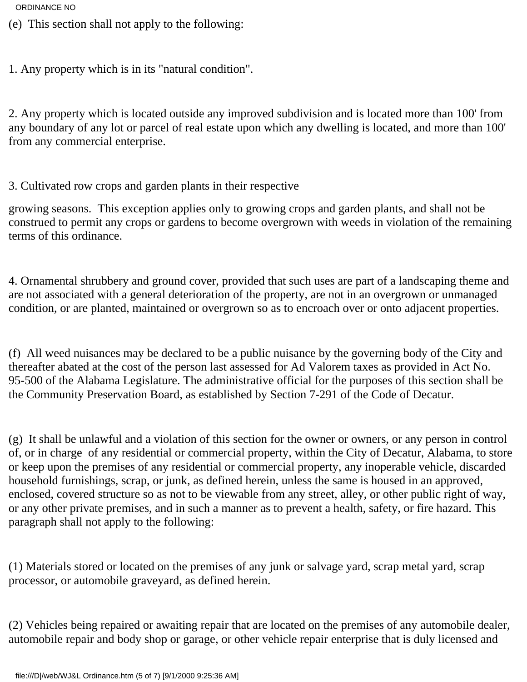- (e) This section shall not apply to the following:
- 1. Any property which is in its "natural condition".

2. Any property which is located outside any improved subdivision and is located more than 100' from any boundary of any lot or parcel of real estate upon which any dwelling is located, and more than 100' from any commercial enterprise.

3. Cultivated row crops and garden plants in their respective

growing seasons. This exception applies only to growing crops and garden plants, and shall not be construed to permit any crops or gardens to become overgrown with weeds in violation of the remaining terms of this ordinance.

4. Ornamental shrubbery and ground cover, provided that such uses are part of a landscaping theme and are not associated with a general deterioration of the property, are not in an overgrown or unmanaged condition, or are planted, maintained or overgrown so as to encroach over or onto adjacent properties.

(f) All weed nuisances may be declared to be a public nuisance by the governing body of the City and thereafter abated at the cost of the person last assessed for Ad Valorem taxes as provided in Act No. 95-500 of the Alabama Legislature. The administrative official for the purposes of this section shall be the Community Preservation Board, as established by Section 7-291 of the Code of Decatur.

(g) It shall be unlawful and a violation of this section for the owner or owners, or any person in control of, or in charge of any residential or commercial property, within the City of Decatur, Alabama, to store or keep upon the premises of any residential or commercial property, any inoperable vehicle, discarded household furnishings, scrap, or junk, as defined herein, unless the same is housed in an approved, enclosed, covered structure so as not to be viewable from any street, alley, or other public right of way, or any other private premises, and in such a manner as to prevent a health, safety, or fire hazard. This paragraph shall not apply to the following:

(1) Materials stored or located on the premises of any junk or salvage yard, scrap metal yard, scrap processor, or automobile graveyard, as defined herein.

(2) Vehicles being repaired or awaiting repair that are located on the premises of any automobile dealer, automobile repair and body shop or garage, or other vehicle repair enterprise that is duly licensed and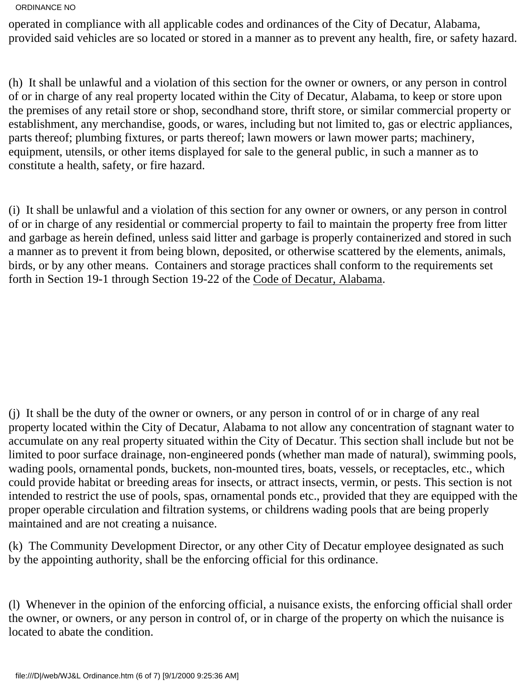operated in compliance with all applicable codes and ordinances of the City of Decatur, Alabama, provided said vehicles are so located or stored in a manner as to prevent any health, fire, or safety hazard.

(h) It shall be unlawful and a violation of this section for the owner or owners, or any person in control of or in charge of any real property located within the City of Decatur, Alabama, to keep or store upon the premises of any retail store or shop, secondhand store, thrift store, or similar commercial property or establishment, any merchandise, goods, or wares, including but not limited to, gas or electric appliances, parts thereof; plumbing fixtures, or parts thereof; lawn mowers or lawn mower parts; machinery, equipment, utensils, or other items displayed for sale to the general public, in such a manner as to constitute a health, safety, or fire hazard.

(i) It shall be unlawful and a violation of this section for any owner or owners, or any person in control of or in charge of any residential or commercial property to fail to maintain the property free from litter and garbage as herein defined, unless said litter and garbage is properly containerized and stored in such a manner as to prevent it from being blown, deposited, or otherwise scattered by the elements, animals, birds, or by any other means. Containers and storage practices shall conform to the requirements set forth in Section 19-1 through Section 19-22 of the Code of Decatur, Alabama.

(j) It shall be the duty of the owner or owners, or any person in control of or in charge of any real property located within the City of Decatur, Alabama to not allow any concentration of stagnant water to accumulate on any real property situated within the City of Decatur. This section shall include but not be limited to poor surface drainage, non-engineered ponds (whether man made of natural), swimming pools, wading pools, ornamental ponds, buckets, non-mounted tires, boats, vessels, or receptacles, etc., which could provide habitat or breeding areas for insects, or attract insects, vermin, or pests. This section is not intended to restrict the use of pools, spas, ornamental ponds etc., provided that they are equipped with the proper operable circulation and filtration systems, or childrens wading pools that are being properly maintained and are not creating a nuisance.

(k) The Community Development Director, or any other City of Decatur employee designated as such by the appointing authority, shall be the enforcing official for this ordinance.

(l) Whenever in the opinion of the enforcing official, a nuisance exists, the enforcing official shall order the owner, or owners, or any person in control of, or in charge of the property on which the nuisance is located to abate the condition.